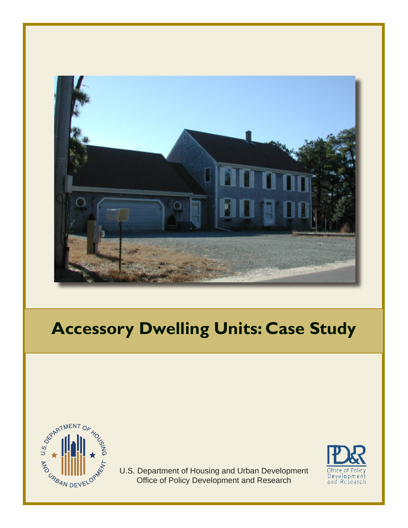

# **Accessory Dwelling Units: Case Study**



U.S . Department of Housing and Urban Development Office of Policy Development and Research

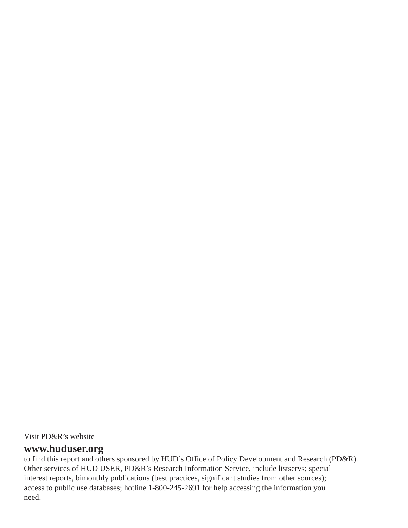Visit PD&R's website

# **www.huduser.org**

to find this report and others sponsored by HUD's Office of Policy Development and Research (PD&R). Other services of HUD USER, PD&R's Research Information Service, include listservs; special interest reports, bimonthly publications (best practices, significant studies from other sources); access to public use databases; hotline 1-800-245-2691 for help accessing the information you need.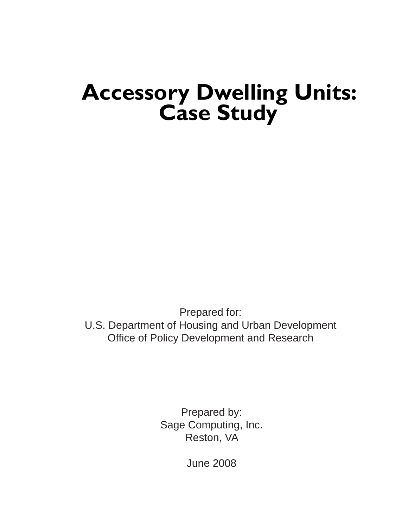# **Accessory Dwelling Units: Case Study**

Prepared for:

U.S. Department of Housing and Urban Development Office of Policy Development and Research

> Prepared by: Sage Computing, Inc. Reston, VA

> > June 2008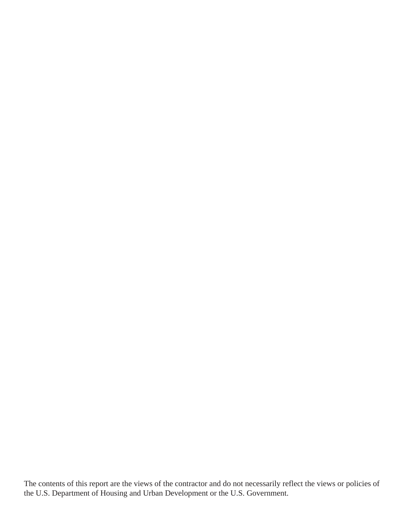The contents of this report are the views of the contractor and do not necessarily reflect the views or policies of the U.S. Department of Housing and Urban Development or the U.S. Government.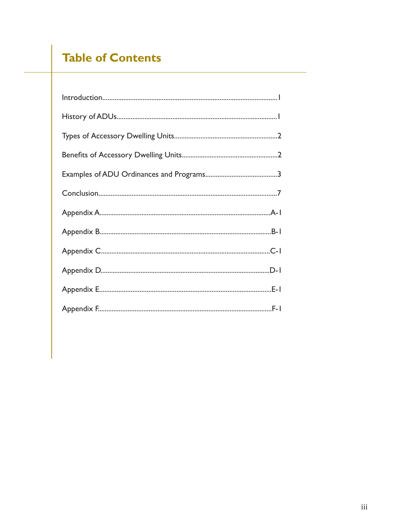# **Table of Contents**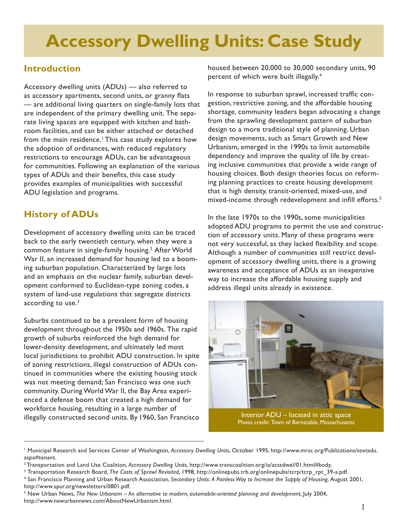# **Accessory Dwelling Units: Case Study**

# **Introduction**

 Accessory dwelling units (ADUs) — also referred to as accessory apartments, second units, or granny flats — are additional living quarters on single-family lots that room facilities, and can be either attached or detached the adoption of ordinances, with reduced regulatory restrictions to encourage ADUs, can be advantageous for communities. Following an explanation of the various types of ADUs and their benefits, this case study provides examples of municipalities with successful are independent of the primary dwelling unit. The separate living spaces are equipped with kitchen and bathfrom the main residence.<sup>1</sup> This case study explores how ADU legislation and programs.

# **History of ADUs**

 Development of accessory dwelling units can be traced back to the early twentieth century, when they were a common feature in single-family housing.<sup>2</sup> After World ing suburban population. Characterized by large lots opment conformed to Euclidean-type zoning codes, a system of land-use regulations that segregate districts War II, an increased demand for housing led to a boomand an emphasis on the nuclear family, suburban develaccording to use. $3$ 

 Suburbs continued to be a prevalent form of housing development throughout the 1950s and 1960s. The rapid growth of suburbs reinforced the high demand for lower-density development, and ultimately led most local jurisdictions to prohibit ADU construction. In spite tinued in communities where the existing housing stock was not meeting demand; San Francisco was one such enced a defense boom that created a high demand for workforce housing, resulting in a large number of of zoning restrictions, illegal construction of ADUs concommunity. During World War II, the Bay Area experiillegally constructed second units. By 1960, San Francisco

 housed between 20,000 to 30,000 secondary units, 90 percent of which were built illegally.4

 gestion, restrictive zoning, and the affordable housing shortage, community leaders began advocating a change from the sprawling development pattern of suburban design to a more traditional style of planning. Urban design movements, such as Smart Growth and New Urbanism, emerged in the 1990s to limit automobile ing inclusive communities that provide a wide range of ing planning practices to create housing development that is high density, transit-oriented, mixed-use, and In response to suburban sprawl, increased traffic condependency and improve the quality of life by creathousing choices. Both design theories focus on reformmixed-income through redevelopment and infill efforts.<sup>5</sup>

 In the late 1970s to the 1990s, some municipalities tion of accessory units. Many of these programs were opment of accessory dwelling units, there is a growing awareness and acceptance of ADUs as an inexpensive way to increase the affordable housing supply and adopted ADU programs to permit the use and construcnot very successful, as they lacked flexibility and scope. Although a number of communities still restrict develaddress illegal units already in existence.



Interior ADU – located in attic space Photo credit: Town of Barnstable, Massachusetts

<sup>1</sup> Municipal Research and Services Center of Washington, *Accessory Dwelling Units*, October 1995, http://www.mrsc.org/Publications/textadu. aspx#tenant.

<sup>2</sup> Transportation and Land Use Coalition, *Accessory Dwelling Units*, http://www.transcoalition.org/ia/acssdwel/01.html#body.

<sup>3</sup> Transportation Research Board, *The Costs of Sprawl Revisited,* 1998, http://onlinepubs.trb.org/onlinepubs/tcrp/tcrp\_rpt\_39-a.pdf.

<sup>&</sup>lt;sup>4</sup> San Francisco Planning and Urban Research Association, Secondary Units: A Painless Way to Increase the Supply of Housing, August 2001, http://www.spur.org/newsletters/0801.pdf.

<sup>&</sup>lt;sup>5</sup> New Urban News, The New Urbansim – An alternative to modern, automobile-oriented planning and development, July 2004, http://www.newurbannews.com/AboutNewUrbanism.html.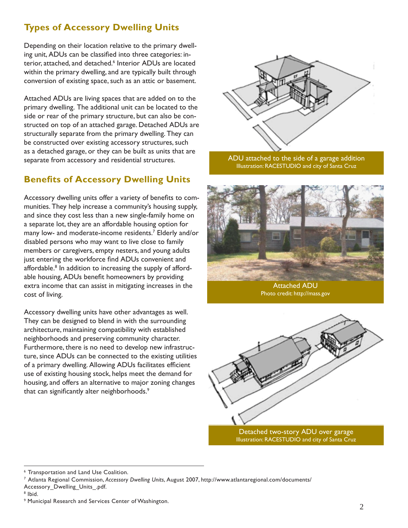# **Types of Accessory Dwelling Units**

 conversion of existing space, such as an attic or basement. Depending on their location relative to the primary dwelling unit, ADUs can be classified into three categories: interior, attached, and detached.<sup>6</sup> Interior ADUs are located within the primary dwelling, and are typically built through

Attached ADUs are living spaces that are added on to the primary dwelling. The additional unit can be located to the side or rear of the primary structure, but can also be constructed on top of an attached garage. Detached ADUs are structurally separate from the primary dwelling. They can be constructed over existing accessory structures, such as a detached garage, or they can be built as units that are separate from accessory and residential structures.

# **Benefits of Accessory Dwelling Units**

Accessory dwelling units offer a variety of benefits to communities. They help increase a community's housing supply, and since they cost less than a new single-family home on a separate lot, they are an affordable housing option for many low- and moderate-income residents.7 Elderly and/or disabled persons who may want to live close to family members or caregivers, empty nesters, and young adults just entering the workforce find ADUs convenient and affordable.<sup>8</sup> In addition to increasing the supply of affordable housing, ADUs benefit homeowners by providing extra income that can assist in mitigating increases in the cost of living.

that can significantly alter neighborhoods.<sup>9</sup> Accessory dwelling units have other advantages as well. They can be designed to blend in with the surrounding architecture, maintaining compatibility with established neighborhoods and preserving community character. Furthermore, there is no need to develop new infrastructure, since ADUs can be connected to the existing utilities of a primary dwelling. Allowing ADUs facilitates efficient use of existing housing stock, helps meet the demand for housing, and offers an alternative to major zoning changes



ADU attached to the side of a garage addition Illustration: RACESTUDIO and city of Santa Cruz



Photo credit: http://mass.gov



Illustration: RACESTUDIO and city of Santa Cruz

<sup>6</sup> Transportation and Land Use Coalition.

<sup>7</sup> Atlanta Regional Commission, *Accessory Dwelling Units*, August 2007, http://www.atlantaregional.com/documents/

Accessory\_Dwelling\_Units\_.pdf.

<sup>8</sup> Ibid.

<sup>9</sup> Municipal Research and Services Center of Washington.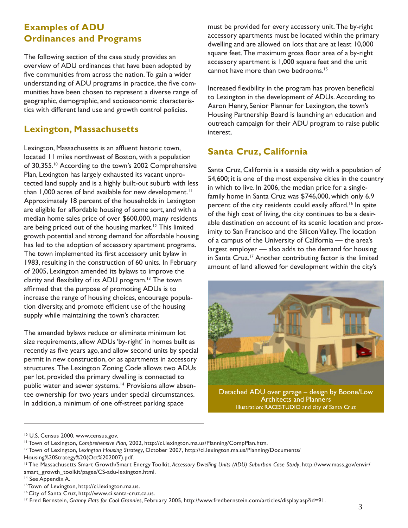# <span id="page-8-0"></span>**Examples of ADU Ordinances and Programs**

The following section of the case study provides an overview of ADU ordinances that have been adopted by five communities from across the nation. To gain a wider understanding of ADU programs in practice, the five communities have been chosen to represent a diverse range of geographic, demographic, and socioeconomic characteristics with different land use and growth control policies.

# **Lexington, Massachusetts**

Lexington, Massachusetts is an affluent historic town, located 11 miles northwest of Boston, with a population of 30,355.10 According to the town's 2002 Comprehensive Plan, Lexington has largely exhausted its vacant unprotected land supply and is a highly built-out suburb with less than 1,000 acres of land available for new development.<sup>11</sup> Approximately 18 percent of the households in Lexington are eligible for affordable housing of some sort, and with a median home sales price of over \$600,000, many residents are being priced out of the housing market.<sup>12</sup> This limited growth potential and strong demand for affordable housing has led to the adoption of accessory apartment programs. The town implemented its first accessory unit bylaw in 1983, resulting in the construction of 60 units. In February of 2005, Lexington amended its bylaws to improve the clarity and flexibility of its ADU program.<sup>13</sup> The town affirmed that the purpose of promoting ADUs is to increase the range of housing choices, encourage population diversity, and promote efficient use of the housing supply while maintaining the town's character.

The amended bylaws reduce or eliminate minimum lot size requirements, allow ADUs 'by-right' in homes built as recently as five years ago, and allow second units by special permit in new construction, or as apartments in accessory structures. The Lexington Zoning Code allows two ADUs per lot, provided the primary dwelling is connected to public water and sewer systems.<sup>14</sup> Provisions allow absentee ownership for two years under special circumstances. In addition, a minimum of one off-street parking space

must be provided for every accessory unit. The by-right accessory apartments must be located within the primary dwelling and are allowed on lots that are at least 10,000 square feet. The maximum gross floor area of a by-right accessory apartment is 1,000 square feet and the unit cannot have more than two bedrooms.<sup>15</sup>

Increased flexibility in the program has proven beneficial to Lexington in the development of ADUs. According to Aaron Henry, Senior Planner for Lexington, the town's Housing Partnership Board is launching an education and outreach campaign for their ADU program to raise public interest.

# **Santa Cruz, California**

Santa Cruz, California is a seaside city with a population of 54,600; it is one of the most expensive cities in the country in which to live. In 2006, the median price for a singlefamily home in Santa Cruz was \$746,000, which only 6.9 percent of the city residents could easily afford.<sup>16</sup> In spite of the high cost of living, the city continues to be a desirable destination on account of its scenic location and proximity to San Francisco and the Silicon Valley. The location of a campus of the University of California — the area's largest employer — also adds to the demand for housing in Santa Cruz.<sup>17</sup> Another contributing factor is the limited amount of land allowed for development within the city's



<sup>&</sup>lt;sup>10</sup> U.S. Census 2000, www.census.gov.

<sup>11</sup> Town of Lexington, *Comprehensive Plan,* 2002, http://ci.lexington.ma.us/Planning/CompPlan.htm.

<sup>12</sup> Town of Lexington, *Lexington Housing Strategy*, October 2007, http://ci.lexington.ma.us/Planning/Documents/ Housing%20Strategy%20(Oct%202007).pdf.

<sup>13</sup> The Massachusetts Smart Growth/Smart Energy Toolkit, *Accessory Dwelling Units (ADU) Suburban Case Study*, http://www.mass.gov/envir/ smart\_growth\_toolkit/pages/CS-adu-lexington.html.

<sup>&</sup>lt;sup>14</sup> See Appendix A.

<sup>&</sup>lt;sup>15</sup> Town of Lexington, http://ci.lexington.ma.us.

<sup>16</sup> City of Santa Cruz, http://www.ci.santa-cruz.ca.us.

<sup>17</sup> Fred Bernstein, *Granny Flats for Cool Grannies*, February 2005, http://www.fredbernstein.com/articles/display.asp?id=91.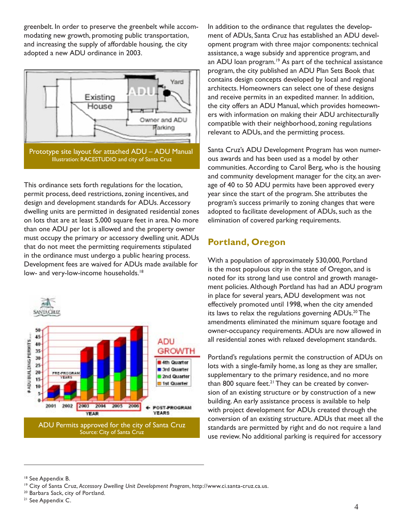greenbelt. In order to preserve the greenbelt while accommodating new growth, promoting public transportation, and increasing the supply of affordable housing, the city adopted a new ADU ordinance in 2003.



This ordinance sets forth regulations for the location, permit process, deed restrictions, zoning incentives, and design and development standards for ADUs. Accessory dwelling units are permitted in designated residential zones on lots that are at least 5,000 square feet in area. No more than one ADU per lot is allowed and the property owner must occupy the primary or accessory dwelling unit. ADUs that do not meet the permitting requirements stipulated in the ordinance must undergo a public hearing process. Development fees are waived for ADUs made available for low- and very-low-income households.<sup>18</sup>



In addition to the ordinance that regulates the development of ADUs, Santa Cruz has established an ADU development program with three major components: technical assistance, a wage subsidy and apprentice program, and an ADU loan program.<sup>19</sup> As part of the technical assistance program, the city published an ADU Plan Sets Book that contains design concepts developed by local and regional architects. Homeowners can select one of these designs and receive permits in an expedited manner. In addition, the city offers an ADU Manual, which provides homeowners with information on making their ADU architecturally compatible with their neighborhood, zoning regulations relevant to ADUs, and the permitting process.

Santa Cruz's ADU Development Program has won numerous awards and has been used as a model by other communities. According to Carol Berg, who is the housing and community development manager for the city, an average of 40 to 50 ADU permits have been approved every year since the start of the program. She attributes the program's success primarily to zoning changes that were adopted to facilitate development of ADUs, such as the elimination of covered parking requirements.

# **Portland, Oregon**

 all residential zones with relaxed development standards. With a population of approximately 530,000, Portland is the most populous city in the state of Oregon, and is noted for its strong land use control and growth management policies. Although Portland has had an ADU program in place for several years, ADU development was not effectively promoted until 1998, when the city amended its laws to relax the regulations governing ADUs.<sup>20</sup> The amendments eliminated the minimum square footage and owner-occupancy requirements. ADUs are now allowed in

Portland's regulations permit the construction of ADUs on lots with a single-family home, as long as they are smaller, supplementary to the primary residence, and no more than 800 square feet.<sup>21</sup> They can be created by conversion of an existing structure or by construction of a new building. An early assistance process is available to help with project development for ADUs created through the conversion of an existing structure. ADUs that meet all the standards are permitted by right and do not require a land use review. No additional parking is required for accessory

<sup>18</sup> See Appendix B.

<sup>20</sup> Barbara Sack, city of Portland.

<sup>19</sup> City of Santa Cruz, *Accessory Dwelling Unit Development Program*, http://www.ci.santa-cruz.ca.us.

<sup>&</sup>lt;sup>21</sup> See Appendix C.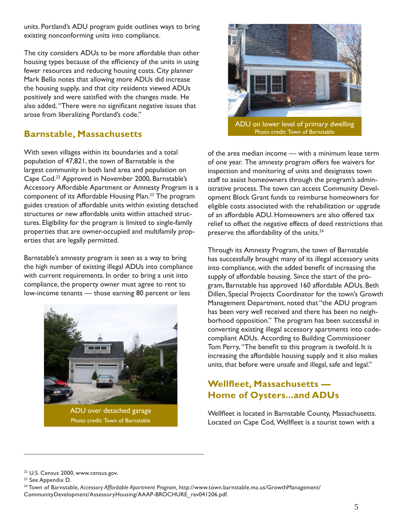units. Portland's ADU program guide outlines ways to bring existing nonconforming units into compliance.

The city considers ADUs to be more affordable than other housing types because of the efficiency of the units in using fewer resources and reducing housing costs. City planner Mark Bello notes that allowing more ADUs did increase the housing supply, and that city residents viewed ADUs positively and were satisfied with the changes made. He also added, "There were no significant negative issues that arose from liberalizing Portland's code."

# **Barnstable, Massachusetts**

With seven villages within its boundaries and a total population of 47,821, the town of Barnstable is the largest community in both land area and population on Cape Cod.22 Approved in November 2000, Barnstable's Accessory Affordable Apartment or Amnesty Program is a component of its Affordable Housing Plan.<sup>23</sup> The program guides creation of affordable units within existing detached structures or new affordable units within attached structures. Eligibility for the program is limited to single-family properties that are owner-occupied and multifamily properties that are legally permitted.

Barnstable's amnesty program is seen as a way to bring the high number of existing illegal ADUs into compliance with current requirements. In order to bring a unit into compliance, the property owner must agree to rent to low-income tenants — those earning 80 percent or less



ADU over detached garage Photo credit: Town of Barnstable



 of one year. The amnesty program offers fee waivers for of the area median income — with a minimum lease term inspection and monitoring of units and designates town staff to assist homeowners through the program's administrative process. The town can access Community Development Block Grant funds to reimburse homeowners for eligible costs associated with the rehabilitation or upgrade of an affordable ADU. Homeowners are also offered tax relief to offset the negative effects of deed restrictions that preserve the affordability of the units.<sup>24</sup>

Through its Amnesty Program, the town of Barnstable has successfully brought many of its illegal accessory units into compliance, with the added benefit of increasing the supply of affordable housing. Since the start of the program, Barnstable has approved 160 affordable ADUs. Beth Dillen, Special Projects Coordinator for the town's Growth Management Department, noted that "the ADU program has been very well received and there has been no neighborhood opposition." The program has been successful in converting existing illegal accessory apartments into codecompliant ADUs. According to Building Commissioner Tom Perry, "The benefit to this program is twofold. It is increasing the affordable housing supply and it also makes units, that before were unsafe and illegal, safe and legal."

# **Wellfleet, Massachusetts — Home of Oysters...and ADUs**

Wellfleet is located in Barnstable County, Massachusetts. Located on Cape Cod, Wellfleet is a tourist town with a

<sup>22</sup> U.S. Census 2000, www.census.gov.<br><sup>23</sup> See Appendix D.

<sup>24</sup> Town of Barnstable, *Accessory Affordable Apartment Program,* http://www.town.barnstable.ma.us/GrowthManagement/ CommunityDevelopment/AssessoryHousing/AAAP-BROCHURE\_rev041206.pdf.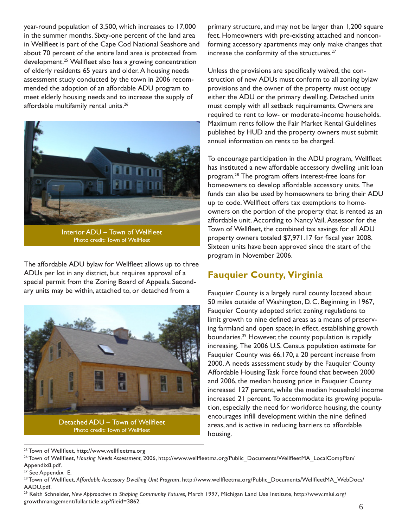affordable multifamily rental units.<sup>26</sup> year-round population of 3,500, which increases to 17,000 in the summer months. Sixty-one percent of the land area in Wellfleet is part of the Cape Cod National Seashore and about 70 percent of the entire land area is protected from development.<sup>25</sup> Wellfleet also has a growing concentration of elderly residents 65 years and older. A housing needs assessment study conducted by the town in 2006 recommended the adoption of an affordable ADU program to meet elderly housing needs and to increase the supply of



Interior ADU – Town of Wellfleet Photo credit: Town of Wellfleet

The affordable ADU bylaw for Wellfleet allows up to three ADUs per lot in any district, but requires approval of a special permit from the Zoning Board of Appeals. Secondary units may be within, attached to, or detached from a



primary structure, and may not be larger than 1,200 square feet. Homeowners with pre-existing attached and nonconforming accessory apartments may only make changes that increase the conformity of the structures.<sup>27</sup>

Unless the provisions are specifically waived, the construction of new ADUs must conform to all zoning bylaw provisions and the owner of the property must occupy either the ADU or the primary dwelling. Detached units must comply with all setback requirements. Owners are required to rent to low- or moderate-income households. Maximum rents follow the Fair Market Rental Guidelines published by HUD and the property owners must submit annual information on rents to be charged.

To encourage participation in the ADU program, Wellfleet has instituted a new affordable accessory dwelling unit loan program.28 The program offers interest-free loans for homeowners to develop affordable accessory units. The funds can also be used by homeowners to bring their ADU up to code. Wellfleet offers tax exemptions to homeowners on the portion of the property that is rented as an affordable unit. According to Nancy Vail, Assessor for the Town of Wellfleet, the combined tax savings for all ADU property owners totaled \$7,971.17 for fiscal year 2008. Sixteen units have been approved since the start of the program in November 2006.

# **Fauquier County, Virginia**

Fauquier County is a largely rural county located about 50 miles outside of Washington, D. C. Beginning in 1967, Fauquier County adopted strict zoning regulations to limit growth to nine defined areas as a means of preserving farmland and open space; in effect, establishing growth boundaries.<sup>29</sup> However, the county population is rapidly increasing. The 2006 U.S. Census population estimate for Fauquier County was 66,170, a 20 percent increase from 2000. A needs assessment study by the Fauquier County Affordable Housing Task Force found that between 2000 and 2006, the median housing price in Fauquier County increased 127 percent, while the median household income increased 21 percent. To accommodate its growing population, especially the need for workforce housing, the county encourages infill development within the nine defined areas, and is active in reducing barriers to affordable housing.

<sup>&</sup>lt;sup>25</sup> Town of Wellfleet, http://www.wellfleetma.org

<sup>26</sup> Town of Wellfleet, *Housing Needs Assessment,* 2006, http://www.wellfleetma.org/Public\_Documents/WellfleetMA\_LocalCompPlan/ Appendix8.pdf.

<sup>&</sup>lt;sup>27</sup> See Appendix E.

<sup>28</sup> Town of Wellfleet, *Affordable Accessory Dwelling Unit Program*, http://www.wellfleetma.org/Public\_Documents/WellfleetMA\_WebDocs/ AADU.pdf.

<sup>29</sup> Keith Schneider, *New Approaches to Shaping Community Futures,* March 1997, Michigan Land Use Institute, http://www.mlui.org/ growthmanagement/fullarticle.asp?fileid=3862.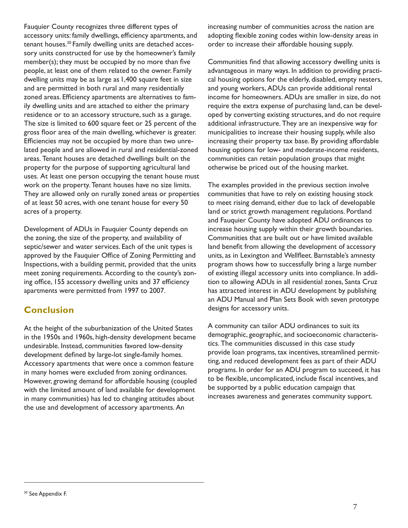<span id="page-12-0"></span>Fauquier County recognizes three different types of accessory units: family dwellings, efficiency apartments, and tenant houses.<sup>30</sup> Family dwelling units are detached accessory units constructed for use by the homeowner's family member(s); they must be occupied by no more than five people, at least one of them related to the owner. Family dwelling units may be as large as 1,400 square feet in size and are permitted in both rural and many residentially zoned areas. Efficiency apartments are alternatives to family dwelling units and are attached to either the primary residence or to an accessory structure, such as a garage. The size is limited to 600 square feet or 25 percent of the gross floor area of the main dwelling, whichever is greater. Efficiencies may not be occupied by more than two unrelated people and are allowed in rural and residential-zoned areas. Tenant houses are detached dwellings built on the property for the purpose of supporting agricultural land uses. At least one person occupying the tenant house must work on the property. Tenant houses have no size limits. They are allowed only on rurally zoned areas or properties of at least 50 acres, with one tenant house for every 50 acres of a property.

Development of ADUs in Fauquier County depends on the zoning, the size of the property, and availability of septic/sewer and water services. Each of the unit types is approved by the Fauquier Office of Zoning Permitting and Inspections, with a building permit, provided that the units meet zoning requirements. According to the county's zoning office, 155 accessory dwelling units and 37 efficiency apartments were permitted from 1997 to 2007.

### **Conclusion**

At the height of the suburbanization of the United States in the 1950s and 1960s, high-density development became undesirable. Instead, communities favored low-density development defined by large-lot single-family homes. Accessory apartments that were once a common feature in many homes were excluded from zoning ordinances. However, growing demand for affordable housing (coupled with the limited amount of land available for development in many communities) has led to changing attitudes about the use and development of accessory apartments. An

increasing number of communities across the nation are adopting flexible zoning codes within low-density areas in order to increase their affordable housing supply.

Communities find that allowing accessory dwelling units is advantageous in many ways. In addition to providing practical housing options for the elderly, disabled, empty nesters, and young workers, ADUs can provide additional rental income for homeowners. ADUs are smaller in size, do not require the extra expense of purchasing land, can be developed by converting existing structures, and do not require additional infrastructure. They are an inexpensive way for municipalities to increase their housing supply, while also increasing their property tax base. By providing affordable housing options for low- and moderate-income residents, communities can retain population groups that might otherwise be priced out of the housing market.

The examples provided in the previous section involve communities that have to rely on existing housing stock to meet rising demand, either due to lack of developable land or strict growth management regulations. Portland and Fauquier County have adopted ADU ordinances to increase housing supply within their growth boundaries. Communities that are built out or have limited available land benefit from allowing the development of accessory units, as in Lexington and Wellfleet. Barnstable's amnesty program shows how to successfully bring a large number of existing illegal accessory units into compliance. In addition to allowing ADUs in all residential zones, Santa Cruz has attracted interest in ADU development by publishing an ADU Manual and Plan Sets Book with seven prototype designs for accessory units.

A community can tailor ADU ordinances to suit its demographic, geographic, and socioeconomic characteristics. The communities discussed in this case study provide loan programs, tax incentives, streamlined permitting, and reduced development fees as part of their ADU programs. In order for an ADU program to succeed, it has to be flexible, uncomplicated, include fiscal incentives, and be supported by a public education campaign that increases awareness and generates community support.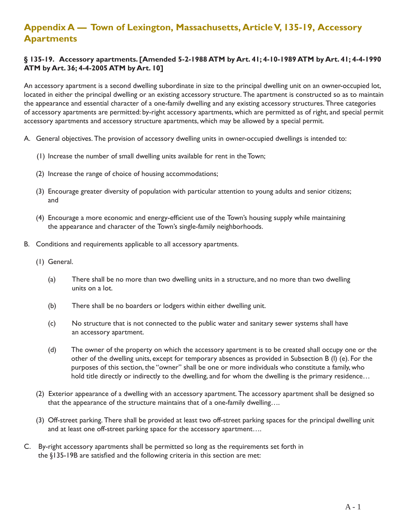# **Appendix A — Town of Lexington, Massachusetts, Article V, 135-19, Accessory Apartments**

#### **§ 135-19. Accessory apartments. [Amended 5-2-1988 ATM by Art. 41; 4-10-1989 ATM by Art. 41; 4-4-1990 ATM by Art. 36; 4-4-2005 ATM by Art. 10]**

An accessory apartment is a second dwelling subordinate in size to the principal dwelling unit on an owner-occupied lot, located in either the principal dwelling or an existing accessory structure. The apartment is constructed so as to maintain the appearance and essential character of a one-family dwelling and any existing accessory structures. Three categories of accessory apartments are permitted: by-right accessory apartments, which are permitted as of right, and special permit accessory apartments and accessory structure apartments, which may be allowed by a special permit.

- A. General objectives. The provision of accessory dwelling units in owner-occupied dwellings is intended to:
	- (1) Increase the number of small dwelling units available for rent in the Town;
	- (2) Increase the range of choice of housing accommodations;
	- (3) Encourage greater diversity of population with particular attention to young adults and senior citizens; and
	- (4) Encourage a more economic and energy-efficient use of the Town's housing supply while maintaining the appearance and character of the Town's single-family neighborhoods.
- B. Conditions and requirements applicable to all accessory apartments.
	- (1) General.
		- (a) There shall be no more than two dwelling units in a structure, and no more than two dwelling units on a lot.
		- (b) There shall be no boarders or lodgers within either dwelling unit.
		- (c) No structure that is not connected to the public water and sanitary sewer systems shall have an accessory apartment.
		- (d) The owner of the property on which the accessory apartment is to be created shall occupy one or the other of the dwelling units, except for temporary absences as provided in Subsection B (l) (e). For the purposes of this section, the "owner" shall be one or more individuals who constitute a family, who hold title directly or indirectly to the dwelling, and for whom the dwelling is the primary residence...
	- (2) Exterior appearance of a dwelling with an accessory apartment. The accessory apartment shall be designed so that the appearance of the structure maintains that of a one-family dwelling….
	- (3) Off-street parking. There shall be provided at least two off-street parking spaces for the principal dwelling unit and at least one off-street parking space for the accessory apartment….
- C. By-right accessory apartments shall be permitted so long as the requirements set forth in the §135-19B are satisfied and the following criteria in this section are met: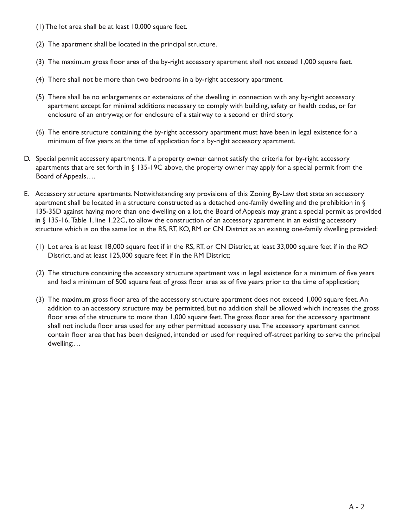- (1) The lot area shall be at least 10,000 square feet.
- (2) The apartment shall be located in the principal structure.
- (3) The maximum gross floor area of the by-right accessory apartment shall not exceed 1,000 square feet.
- (4) There shall not be more than two bedrooms in a by-right accessory apartment.
- (5) There shall be no enlargements or extensions of the dwelling in connection with any by-right accessory apartment except for minimal additions necessary to comply with building, safety or health codes, or for enclosure of an entryway, or for enclosure of a stairway to a second or third story.
- (6) The entire structure containing the by-right accessory apartment must have been in legal existence for a minimum of five years at the time of application for a by-right accessory apartment.
- D. Special permit accessory apartments. If a property owner cannot satisfy the criteria for by-right accessory apartments that are set forth in § 135-19C above, the property owner may apply for a special permit from the Board of Appeals….
- E. Accessory structure apartments. Notwithstanding any provisions of this Zoning By-Law that state an accessory apartment shall be located in a structure constructed as a detached one-family dwelling and the prohibition in  $\S$ 135-35D against having more than one dwelling on a lot, the Board of Appeals may grant a special permit as provided in § 135-16, Table 1, line 1.22C, to allow the construction of an accessory apartment in an existing accessory structure which is on the same lot in the RS, RT, KO, RM or CN District as an existing one-family dwelling provided:
	- (1) Lot area is at least 18,000 square feet if in the RS, RT, or CN District, at least 33,000 square feet if in the RO District, and at least 125,000 square feet if in the RM District;
	- (2) The structure containing the accessory structure apartment was in legal existence for a minimum of five years and had a minimum of 500 square feet of gross floor area as of five years prior to the time of application;
	- (3) The maximum gross floor area of the accessory structure apartment does not exceed 1,000 square feet. An addition to an accessory structure may be permitted, but no addition shall be allowed which increases the gross floor area of the structure to more than 1,000 square feet. The gross floor area for the accessory apartment shall not include floor area used for any other permitted accessory use. The accessory apartment cannot contain floor area that has been designed, intended or used for required off-street parking to serve the principal dwelling;…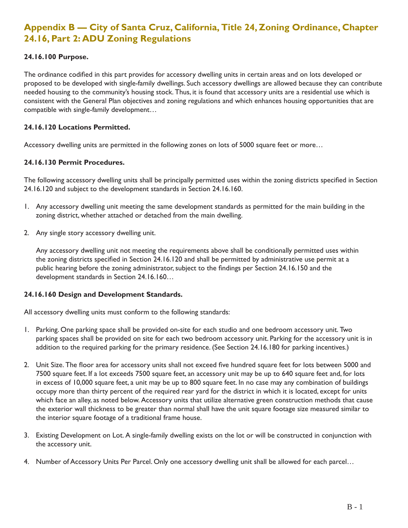# **Appendix B — City of Santa Cruz, California, Title 24, Zoning Ordinance, Chapter 24.16, Part 2: ADU Zoning Regulations**

#### **24.16.100 Purpose.**

The ordinance codified in this part provides for accessory dwelling units in certain areas and on lots developed or proposed to be developed with single-family dwellings. Such accessory dwellings are allowed because they can contribute needed housing to the community's housing stock. Thus, it is found that accessory units are a residential use which is consistent with the General Plan objectives and zoning regulations and which enhances housing opportunities that are compatible with single-family development…

#### **24.16.120 Locations Permitted.**

Accessory dwelling units are permitted in the following zones on lots of 5000 square feet or more…

#### **24.16.130 Permit Procedures.**

The following accessory dwelling units shall be principally permitted uses within the zoning districts specified in Section 24.16.120 and subject to the development standards in Section 24.16.160.

- 1. Any accessory dwelling unit meeting the same development standards as permitted for the main building in the zoning district, whether attached or detached from the main dwelling.
- 2. Any single story accessory dwelling unit.

Any accessory dwelling unit not meeting the requirements above shall be conditionally permitted uses within the zoning districts specified in Section 24.16.120 and shall be permitted by administrative use permit at a public hearing before the zoning administrator, subject to the findings per Section 24.16.150 and the development standards in Section 24.16.160…

#### **24.16.160 Design and Development Standards.**

All accessory dwelling units must conform to the following standards:

- 1. Parking. One parking space shall be provided on-site for each studio and one bedroom accessory unit. Two parking spaces shall be provided on site for each two bedroom accessory unit. Parking for the accessory unit is in addition to the required parking for the primary residence. (See Section 24.16.180 for parking incentives.)
- 2. Unit Size. The floor area for accessory units shall not exceed five hundred square feet for lots between 5000 and 7500 square feet. If a lot exceeds 7500 square feet, an accessory unit may be up to 640 square feet and, for lots in excess of 10,000 square feet, a unit may be up to 800 square feet. In no case may any combination of buildings occupy more than thirty percent of the required rear yard for the district in which it is located, except for units which face an alley, as noted below. Accessory units that utilize alternative green construction methods that cause the exterior wall thickness to be greater than normal shall have the unit square footage size measured similar to the interior square footage of a traditional frame house.
- 3. Existing Development on Lot. A single-family dwelling exists on the lot or will be constructed in conjunction with the accessory unit.
- 4. Number of Accessory Units Per Parcel. Only one accessory dwelling unit shall be allowed for each parcel...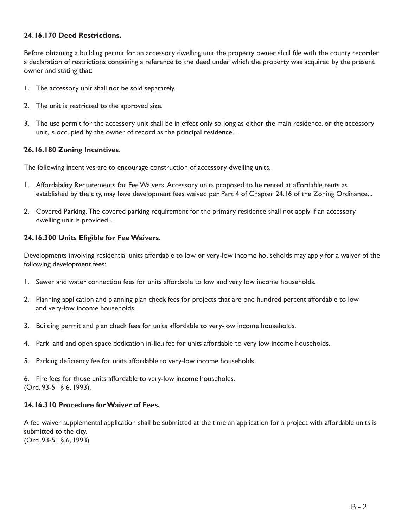#### **24.16.170 Deed Restrictions.**

Before obtaining a building permit for an accessory dwelling unit the property owner shall file with the county recorder a declaration of restrictions containing a reference to the deed under which the property was acquired by the present owner and stating that:

- 1. The accessory unit shall not be sold separately.
- 2. The unit is restricted to the approved size.
- 3. The use permit for the accessory unit shall be in effect only so long as either the main residence, or the accessory unit, is occupied by the owner of record as the principal residence…

#### **26.16.180 Zoning Incentives.**

The following incentives are to encourage construction of accessory dwelling units.

- established by the city, may have development fees waived per Part 4 of Chapter 24.16 of the Zoning Ordinance... 1. Affordability Requirements for Fee Waivers. Accessory units proposed to be rented at affordable rents as
- 2. Covered Parking. The covered parking requirement for the primary residence shall not apply if an accessory dwelling unit is provided…

#### **24.16.300 Units Eligible for Fee Waivers.**

Developments involving residential units affordable to low or very-low income households may apply for a waiver of the following development fees:

- 1. Sewer and water connection fees for units affordable to low and very low income households.
- 2. Planning application and planning plan check fees for projects that are one hundred percent affordable to low and very-low income households.
- 3. Building permit and plan check fees for units affordable to very-low income households.
- 4. Park land and open space dedication in-lieu fee for units affordable to very low income households.
- 5. Parking deficiency fee for units affordable to very-low income households.

6. Fire fees for those units affordable to very-low income households. (Ord. 93-51 § 6, 1993).

#### **24.16.310 Procedure for Waiver of Fees.**

A fee waiver supplemental application shall be submitted at the time an application for a project with affordable units is submitted to the city. (Ord. 93-51 § 6, 1993)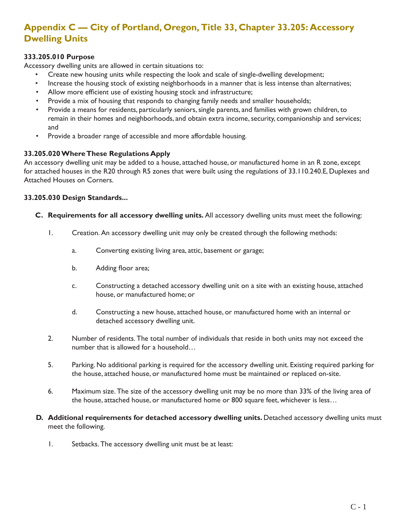# **Appendix C — City of Portland, Oregon, Title 33, Chapter 33.205: Accessory Dwelling Units**

#### **333.205.010 Purpose**

Accessory dwelling units are allowed in certain situations to:

- Create new housing units while respecting the look and scale of single-dwelling development;
- Increase the housing stock of existing neighborhoods in a manner that is less intense than alternatives;
- Allow more efficient use of existing housing stock and infrastructure;
- Provide a mix of housing that responds to changing family needs and smaller households;
- Provide a means for residents, particularly seniors, single parents, and families with grown children, to remain in their homes and neighborhoods, and obtain extra income, security, companionship and services; and
- Provide a broader range of accessible and more affordable housing.

#### **33.205.020 Where These Regulations Apply**

An accessory dwelling unit may be added to a house, attached house, or manufactured home in an R zone, except for attached houses in the R20 through R5 zones that were built using the regulations of 33.110.240.E, Duplexes and Attached Houses on Corners.

#### **33.205.030 Design Standards...**

- **C. Requirements for all accessory dwelling units.** All accessory dwelling units must meet the following:
	- 1. Creation. An accessory dwelling unit may only be created through the following methods:
		- a. Converting existing living area, attic, basement or garage;
		- b. Adding floor area;
		- c. Constructing a detached accessory dwelling unit on a site with an existing house, attached house, or manufactured home; or
		- d. Constructing a new house, attached house, or manufactured home with an internal or detached accessory dwelling unit.
	- 2. Number of residents. The total number of individuals that reside in both units may not exceed the number that is allowed for a household…
	- 5. Parking. No additional parking is required for the accessory dwelling unit. Existing required parking for the house, attached house, or manufactured home must be maintained or replaced on-site.
	- 6. Maximum size. The size of the accessory dwelling unit may be no more than 33% of the living area of the house, attached house, or manufactured home or 800 square feet, whichever is less…
- **D.** Additional requirements for detached accessory dwelling units. Detached accessory dwelling units must meet the following.
	- 1. Setbacks. The accessory dwelling unit must be at least: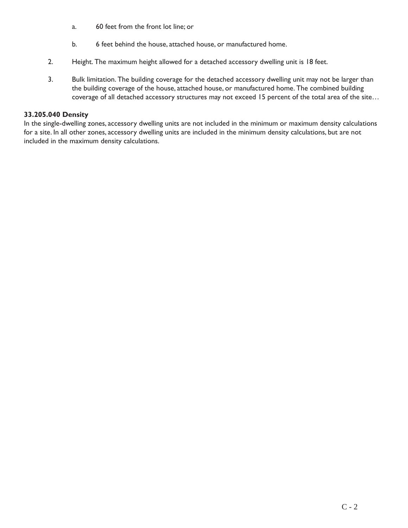- a. 60 feet from the front lot line; or
- b. 6 feet behind the house, attached house, or manufactured home.
- 2. Height. The maximum height allowed for a detached accessory dwelling unit is 18 feet.
- 3. Bulk limitation. The building coverage for the detached accessory dwelling unit may not be larger than the building coverage of the house, attached house, or manufactured home. The combined building coverage of all detached accessory structures may not exceed 15 percent of the total area of the site…

#### **33.205.040 Density**

In the single-dwelling zones, accessory dwelling units are not included in the minimum or maximum density calculations for a site. In all other zones, accessory dwelling units are included in the minimum density calculations, but are not included in the maximum density calculations.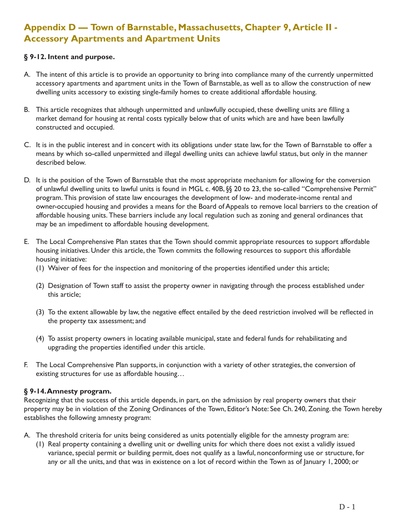# **Appendix D — Town of Barnstable, Massachusetts, Chapter 9, Article II - Accessory Apartments and Apartment Units**

#### **§ 9-12. Intent and purpose.**

- A. The intent of this article is to provide an opportunity to bring into compliance many of the currently unpermitted accessory apartments and apartment units in the Town of Barnstable, as well as to allow the construction of new dwelling units accessory to existing single-family homes to create additional affordable housing.
- B. This article recognizes that although unpermitted and unlawfully occupied, these dwelling units are filling a market demand for housing at rental costs typically below that of units which are and have been lawfully constructed and occupied.
- C. It is in the public interest and in concert with its obligations under state law, for the Town of Barnstable to offer a means by which so-called unpermitted and illegal dwelling units can achieve lawful status, but only in the manner described below.
- D. It is the position of the Town of Barnstable that the most appropriate mechanism for allowing for the conversion of unlawful dwelling units to lawful units is found in MGL c. 40B, §§ 20 to 23, the so-called "Comprehensive Permit" program. This provision of state law encourages the development of low- and moderate-income rental and owner-occupied housing and provides a means for the Board of Appeals to remove local barriers to the creation of affordable housing units. These barriers include any local regulation such as zoning and general ordinances that may be an impediment to affordable housing development.
- E. The Local Comprehensive Plan states that the Town should commit appropriate resources to support affordable housing initiatives. Under this article, the Town commits the following resources to support this affordable housing initiative:
	- (1) Waiver of fees for the inspection and monitoring of the properties identified under this article;
	- (2) Designation of Town staff to assist the property owner in navigating through the process established under this article;
	- (3) To the extent allowable by law, the negative effect entailed by the deed restriction involved will be reflected in the property tax assessment; and
	- (4) To assist property owners in locating available municipal, state and federal funds for rehabilitating and upgrading the properties identified under this article.
- F. The Local Comprehensive Plan supports, in conjunction with a variety of other strategies, the conversion of existing structures for use as affordable housing…

#### **§ 9-14.Amnesty program.**

Recognizing that the success of this article depends, in part, on the admission by real property owners that their property may be in violation of the Zoning Ordinances of the Town, Editor's Note: See Ch. 240, Zoning. the Town hereby establishes the following amnesty program:

- A. The threshold criteria for units being considered as units potentially eligible for the amnesty program are:
	- (1) Real property containing a dwelling unit or dwelling units for which there does not exist a validly issued variance, special permit or building permit, does not qualify as a lawful, nonconforming use or structure, for any or all the units, and that was in existence on a lot of record within the Town as of January 1, 2000; or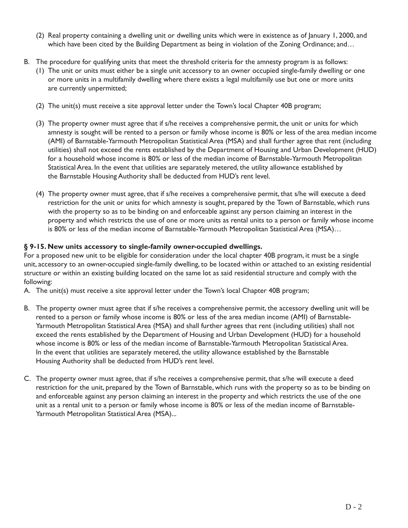- (2) Real property containing a dwelling unit or dwelling units which were in existence as of January 1, 2000, and which have been cited by the Building Department as being in violation of the Zoning Ordinance; and...
- B. The procedure for qualifying units that meet the threshold criteria for the amnesty program is as follows:
	- (1) The unit or units must either be a single unit accessory to an owner occupied single-family dwelling or one or more units in a multifamily dwelling where there exists a legal multifamily use but one or more units are currently unpermitted;
	- (2) The unit(s) must receive a site approval letter under the Town's local Chapter 40B program;
	- (3) The property owner must agree that if s/he receives a comprehensive permit, the unit or units for which amnesty is sought will be rented to a person or family whose income is 80% or less of the area median income (AMI) of Barnstable-Yarmouth Metropolitan Statistical Area (MSA) and shall further agree that rent (including utilities) shall not exceed the rents established by the Department of Housing and Urban Development (HUD) for a household whose income is 80% or less of the median income of Barnstable-Yarmouth Metropolitan Statistical Area. In the event that utilities are separately metered, the utility allowance established by the Barnstable Housing Authority shall be deducted from HUD's rent level.
	- (4) The property owner must agree, that if s/he receives a comprehensive permit, that s/he will execute a deed restriction for the unit or units for which amnesty is sought, prepared by the Town of Barnstable, which runs with the property so as to be binding on and enforceable against any person claiming an interest in the property and which restricts the use of one or more units as rental units to a person or family whose income is 80% or less of the median income of Barnstable-Yarmouth Metropolitan Statistical Area (MSA)…

#### **§ 9-15. New units accessory to single-family owner-occupied dwellings.**

For a proposed new unit to be eligible for consideration under the local chapter 40B program, it must be a single unit, accessory to an owner-occupied single-family dwelling, to be located within or attached to an existing residential structure or within an existing building located on the same lot as said residential structure and comply with the following:

A. The unit(s) must receive a site approval letter under the Town's local Chapter 40B program;

- rented to a person or family whose income is 80% or less of the area median income (AMI) of Barnstableexceed the rents established by the Department of Housing and Urban Development (HUD) for a household exceed the rents established by the Department of Housing and Urban Development (HUD) for a household<br>whose income is 80% or less of the median income of Barnstable-Yarmouth Metropolitan Statistical Area. B. The property owner must agree that if s/he receives a comprehensive permit, the accessory dwelling unit will be Yarmouth Metropolitan Statistical Area (MSA) and shall further agrees that rent (including utilities) shall not In the event that utilities are separately metered, the utility allowance established by the Barnstable Housing Authority shall be deducted from HUD's rent level.
- unit as a rental unit to a person or family whose income is 80% or less of the median income of Barnstable-C. The property owner must agree, that if s/he receives a comprehensive permit, that s/he will execute a deed restriction for the unit, prepared by the Town of Barnstable, which runs with the property so as to be binding on and enforceable against any person claiming an interest in the property and which restricts the use of the one Yarmouth Metropolitan Statistical Area (MSA)...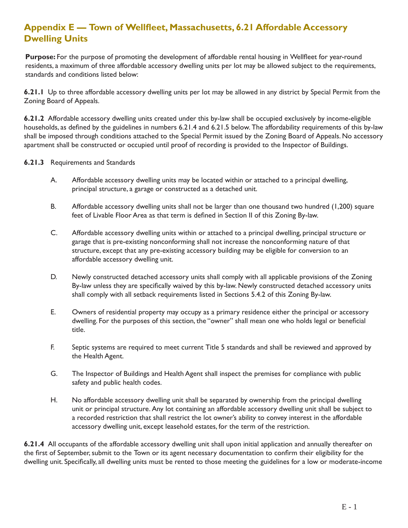# **Appendix E — Town of Wellfleet, Massachusetts, 6.21 Affordable Accessory Dwelling Units**

**Purpose:** For the purpose of promoting the development of affordable rental housing in Wellfleet for year-round residents, a maximum of three affordable accessory dwelling units per lot may be allowed subject to the requirements, standards and conditions listed below:

**6.21.1** Up to three affordable accessory dwelling units per lot may be allowed in any district by Special Permit from the Zoning Board of Appeals.

**6.21.2** Affordable accessory dwelling units created under this by-law shall be occupied exclusively by income-eligible households, as defined by the guidelines in numbers 6.21.4 and 6.21.5 below. The affordability requirements of this by-law shall be imposed through conditions attached to the Special Permit issued by the Zoning Board of Appeals. No accessory apartment shall be constructed or occupied until proof of recording is provided to the Inspector of Buildings.

#### **6.21.3** Requirements and Standards

- A. Affordable accessory dwelling units may be located within or attached to a principal dwelling, principal structure, a garage or constructed as a detached unit.
- B. Affordable accessory dwelling units shall not be larger than one thousand two hundred (1,200) square feet of Livable Floor Area as that term is defined in Section II of this Zoning By-law.
- C. Affordable accessory dwelling units within or attached to a principal dwelling, principal structure or garage that is pre-existing nonconforming shall not increase the nonconforming nature of that structure, except that any pre-existing accessory building may be eligible for conversion to an affordable accessory dwelling unit.
- D. Newly constructed detached accessory units shall comply with all applicable provisions of the Zoning By-law unless they are specifically waived by this by-law. Newly constructed detached accessory units shall comply with all setback requirements listed in Sections 5.4.2 of this Zoning By-law.
- E. Owners of residential property may occupy as a primary residence either the principal or accessory dwelling. For the purposes of this section, the "owner" shall mean one who holds legal or beneficial title.
- F. Septic systems are required to meet current Title 5 standards and shall be reviewed and approved by the Health Agent.
- G. The Inspector of Buildings and Health Agent shall inspect the premises for compliance with public safety and public health codes.
- H. No affordable accessory dwelling unit shall be separated by ownership from the principal dwelling unit or principal structure. Any lot containing an affordable accessory dwelling unit shall be subject to a recorded restriction that shall restrict the lot owner's ability to convey interest in the affordable accessory dwelling unit, except leasehold estates, for the term of the restriction.

**6.21.4** All occupants of the affordable accessory dwelling unit shall upon initial application and annually thereafter on the first of September, submit to the Town or its agent necessary documentation to confirm their eligibility for the dwelling unit. Specifically, all dwelling units must be rented to those meeting the guidelines for a low or moderate-income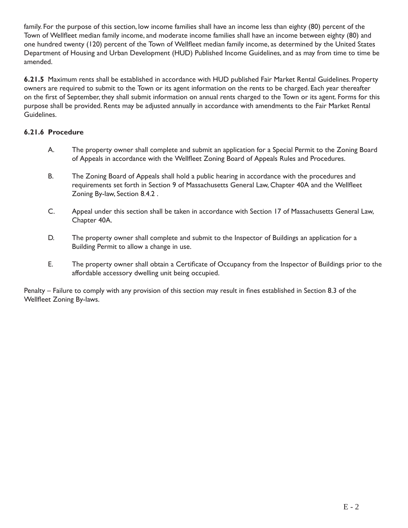family. For the purpose of this section, low income families shall have an income less than eighty (80) percent of the Town of Wellfleet median family income, and moderate income families shall have an income between eighty (80) and one hundred twenty (120) percent of the Town of Wellfleet median family income, as determined by the United States Department of Housing and Urban Development (HUD) Published Income Guidelines, and as may from time to time be amended.

**6.21.5** Maximum rents shall be established in accordance with HUD published Fair Market Rental Guidelines. Property owners are required to submit to the Town or its agent information on the rents to be charged. Each year thereafter on the first of September, they shall submit information on annual rents charged to the Town or its agent. Forms for this purpose shall be provided. Rents may be adjusted annually in accordance with amendments to the Fair Market Rental Guidelines.

#### **6.21.6 Procedure**

- A. The property owner shall complete and submit an application for a Special Permit to the Zoning Board of Appeals in accordance with the Wellfleet Zoning Board of Appeals Rules and Procedures.
- B. The Zoning Board of Appeals shall hold a public hearing in accordance with the procedures and requirements set forth in Section 9 of Massachusetts General Law, Chapter 40A and the Wellfleet Zoning By-law, Section 8.4.2 .
- C. Appeal under this section shall be taken in accordance with Section 17 of Massachusetts General Law, Chapter 40A.
- D. The property owner shall complete and submit to the Inspector of Buildings an application for a Building Permit to allow a change in use.
- E. The property owner shall obtain a Certificate of Occupancy from the Inspector of Buildings prior to the affordable accessory dwelling unit being occupied.

Penalty – Failure to comply with any provision of this section may result in fines established in Section 8.3 of the Wellfleet Zoning By-laws.